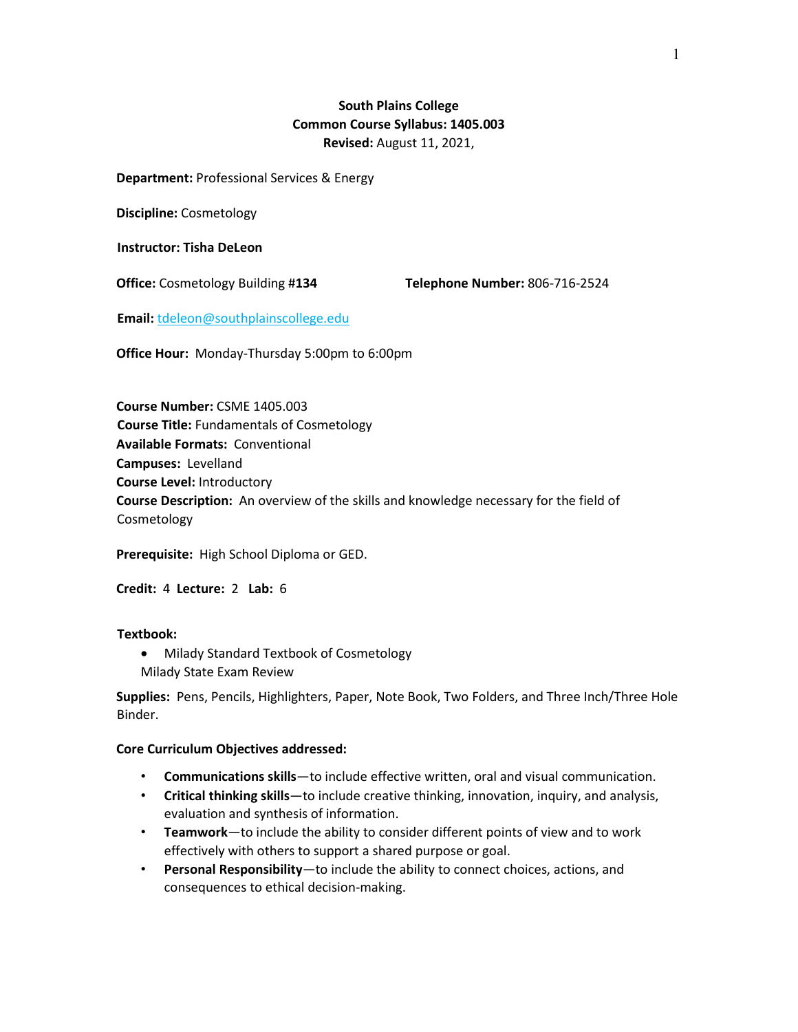# **South Plains College Common Course Syllabus: 1405.003 Revised:** August 11, 2021,

**Department:** Professional Services & Energy

**Discipline:** Cosmetology

**Instructor: Tisha DeLeon**

**Office:** Cosmetology Building #**134 Telephone Number:** 806-716-2524

**Email:** tdeleon@southplainscollege.edu

**Office Hour:** Monday-Thursday 5:00pm to 6:00pm

**Course Number:** CSME 1405.003 **Course Title:** Fundamentals of Cosmetology **Available Formats:** Conventional **Campuses:** Levelland **Course Level:** Introductory **Course Description:** An overview of the skills and knowledge necessary for the field of Cosmetology

**Prerequisite:** High School Diploma or GED.

**Credit:** 4 **Lecture:** 2 **Lab:** 6

### **Textbook:**

- Milady Standard Textbook of Cosmetology
- Milady State Exam Review

**Supplies:** Pens, Pencils, Highlighters, Paper, Note Book, Two Folders, and Three Inch/Three Hole Binder.

### **Core Curriculum Objectives addressed:**

- **Communications skills**—to include effective written, oral and visual communication.
- **Critical thinking skills**—to include creative thinking, innovation, inquiry, and analysis, evaluation and synthesis of information.
- **Teamwork**—to include the ability to consider different points of view and to work effectively with others to support a shared purpose or goal.
- **Personal Responsibility**—to include the ability to connect choices, actions, and consequences to ethical decision-making.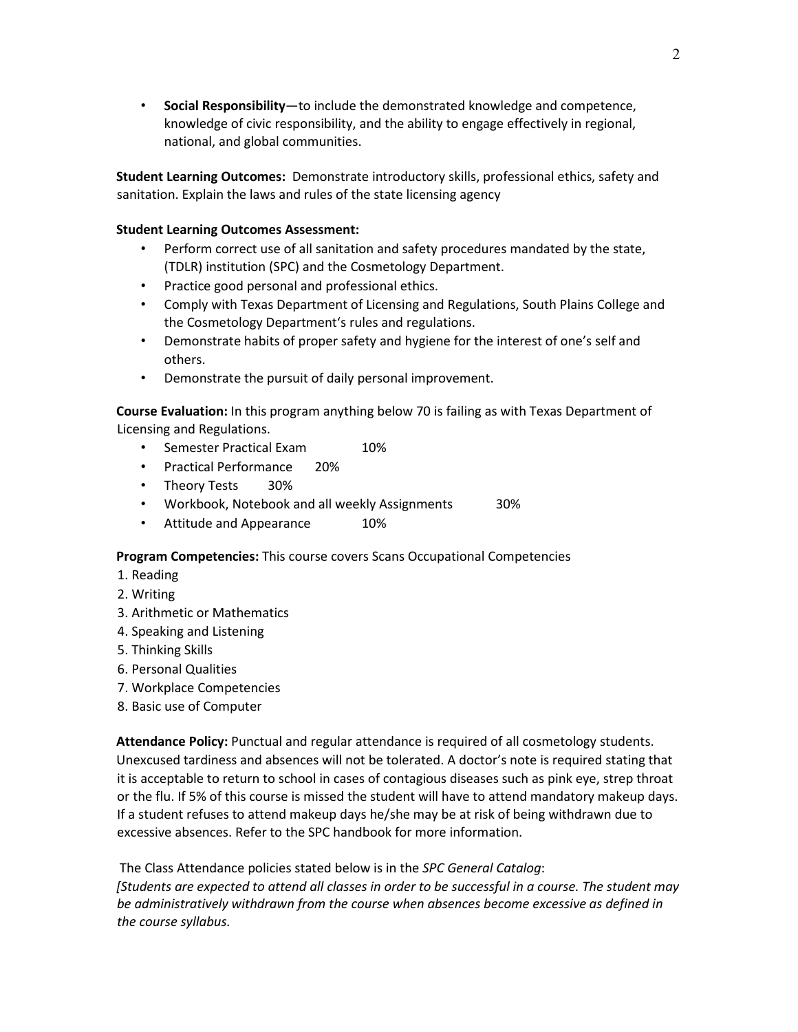• **Social Responsibility**—to include the demonstrated knowledge and competence, knowledge of civic responsibility, and the ability to engage effectively in regional, national, and global communities.

**Student Learning Outcomes:** Demonstrate introductory skills, professional ethics, safety and sanitation. Explain the laws and rules of the state licensing agency

## **Student Learning Outcomes Assessment:**

- Perform correct use of all sanitation and safety procedures mandated by the state, (TDLR) institution (SPC) and the Cosmetology Department.
- Practice good personal and professional ethics.
- Comply with Texas Department of Licensing and Regulations, South Plains College and the Cosmetology Department's rules and regulations.
- Demonstrate habits of proper safety and hygiene for the interest of one's self and others.
- Demonstrate the pursuit of daily personal improvement.

**Course Evaluation:** In this program anything below 70 is failing as with Texas Department of Licensing and Regulations.

- Semester Practical Exam 10%
- Practical Performance 20%
- Theory Tests 30%
- Workbook, Notebook and all weekly Assignments 30%
- Attitude and Appearance 10%

**Program Competencies:** This course covers Scans Occupational Competencies

- 1. Reading
- 2. Writing
- 3. Arithmetic or Mathematics
- 4. Speaking and Listening
- 5. Thinking Skills
- 6. Personal Qualities
- 7. Workplace Competencies
- 8. Basic use of Computer

**Attendance Policy:** Punctual and regular attendance is required of all cosmetology students. Unexcused tardiness and absences will not be tolerated. A doctor's note is required stating that it is acceptable to return to school in cases of contagious diseases such as pink eye, strep throat or the flu. If 5% of this course is missed the student will have to attend mandatory makeup days. If a student refuses to attend makeup days he/she may be at risk of being withdrawn due to excessive absences. Refer to the SPC handbook for more information.

The Class Attendance policies stated below is in the *SPC General Catalog*: *[Students are expected to attend all classes in order to be successful in a course. The student may be administratively withdrawn from the course when absences become excessive as defined in the course syllabus.*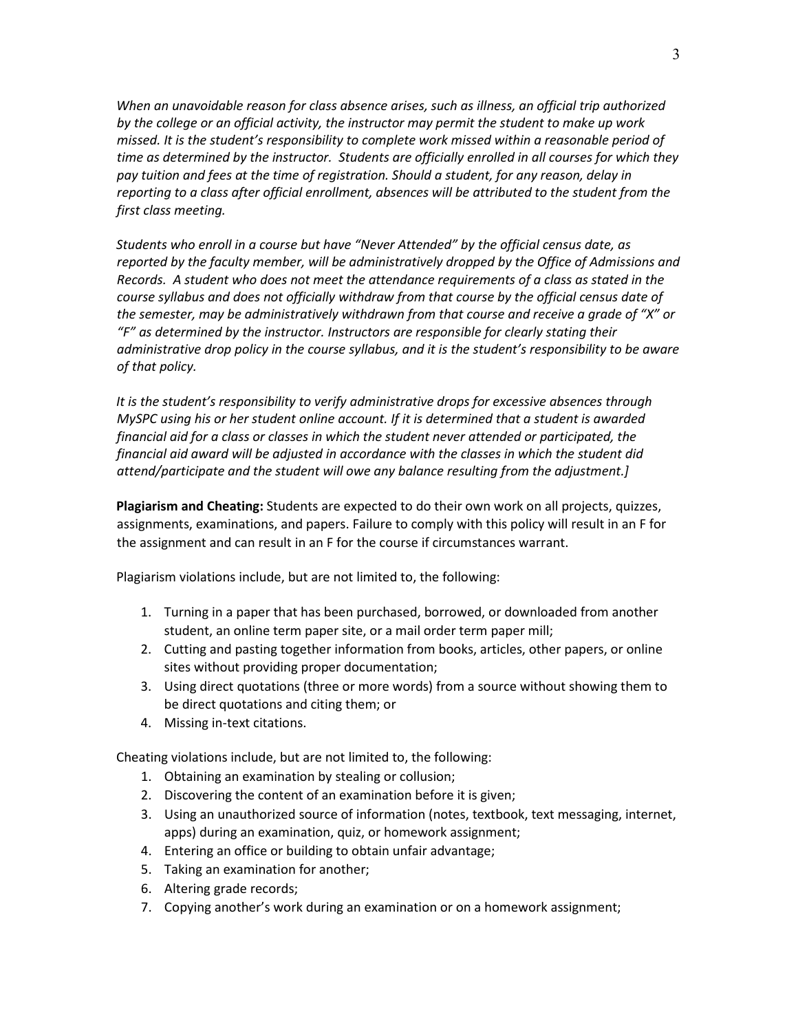*When an unavoidable reason for class absence arises, such as illness, an official trip authorized by the college or an official activity, the instructor may permit the student to make up work missed. It is the student's responsibility to complete work missed within a reasonable period of time as determined by the instructor. Students are officially enrolled in all courses for which they pay tuition and fees at the time of registration. Should a student, for any reason, delay in reporting to a class after official enrollment, absences will be attributed to the student from the first class meeting.* 

*Students who enroll in a course but have "Never Attended" by the official census date, as reported by the faculty member, will be administratively dropped by the Office of Admissions and Records. A student who does not meet the attendance requirements of a class as stated in the course syllabus and does not officially withdraw from that course by the official census date of the semester, may be administratively withdrawn from that course and receive a grade of "X" or "F" as determined by the instructor. Instructors are responsible for clearly stating their administrative drop policy in the course syllabus, and it is the student's responsibility to be aware of that policy.* 

*It is the student's responsibility to verify administrative drops for excessive absences through MySPC using his or her student online account. If it is determined that a student is awarded financial aid for a class or classes in which the student never attended or participated, the financial aid award will be adjusted in accordance with the classes in which the student did attend/participate and the student will owe any balance resulting from the adjustment.]* 

**Plagiarism and Cheating:** Students are expected to do their own work on all projects, quizzes, assignments, examinations, and papers. Failure to comply with this policy will result in an F for the assignment and can result in an F for the course if circumstances warrant.

Plagiarism violations include, but are not limited to, the following:

- 1. Turning in a paper that has been purchased, borrowed, or downloaded from another student, an online term paper site, or a mail order term paper mill;
- 2. Cutting and pasting together information from books, articles, other papers, or online sites without providing proper documentation;
- 3. Using direct quotations (three or more words) from a source without showing them to be direct quotations and citing them; or
- 4. Missing in-text citations.

Cheating violations include, but are not limited to, the following:

- 1. Obtaining an examination by stealing or collusion;
- 2. Discovering the content of an examination before it is given;
- 3. Using an unauthorized source of information (notes, textbook, text messaging, internet, apps) during an examination, quiz, or homework assignment;
- 4. Entering an office or building to obtain unfair advantage;
- 5. Taking an examination for another;
- 6. Altering grade records;
- 7. Copying another's work during an examination or on a homework assignment;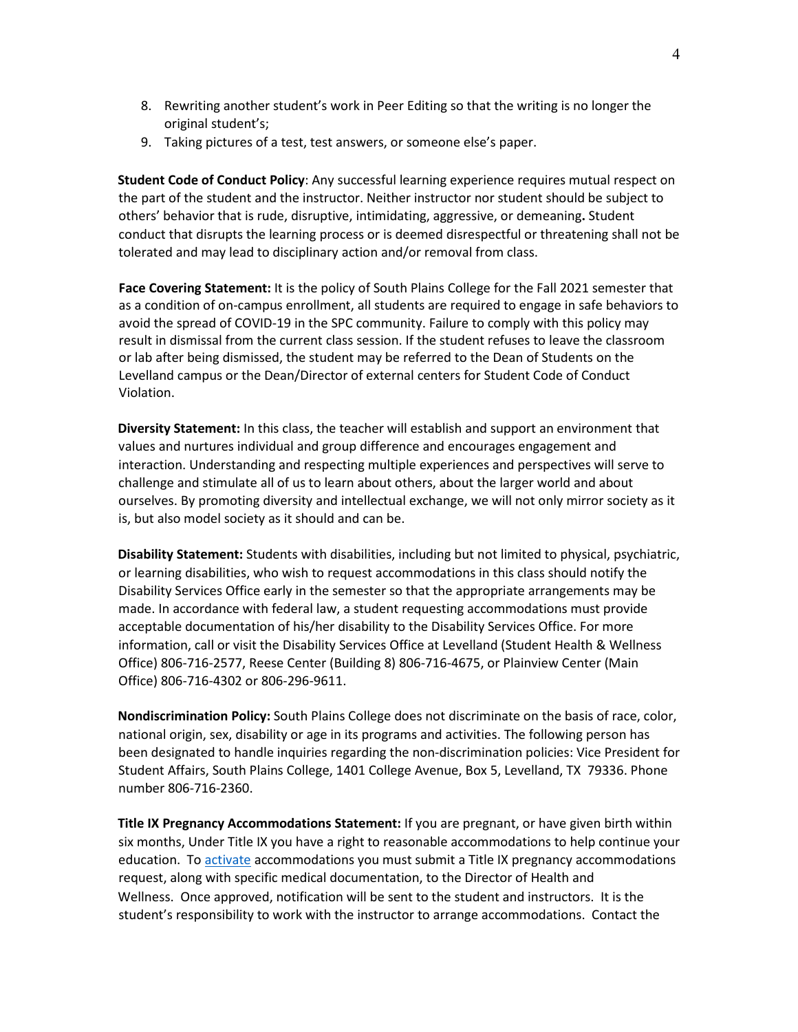- 8. Rewriting another student's work in Peer Editing so that the writing is no longer the original student's;
- 9. Taking pictures of a test, test answers, or someone else's paper.

**Student Code of Conduct Policy**: Any successful learning experience requires mutual respect on the part of the student and the instructor. Neither instructor nor student should be subject to others' behavior that is rude, disruptive, intimidating, aggressive, or demeaning**.** Student conduct that disrupts the learning process or is deemed disrespectful or threatening shall not be tolerated and may lead to disciplinary action and/or removal from class.

**Face Covering Statement:** It is the policy of South Plains College for the Fall 2021 semester that as a condition of on-campus enrollment, all students are required to engage in safe behaviors to avoid the spread of COVID-19 in the SPC community. Failure to comply with this policy may result in dismissal from the current class session. If the student refuses to leave the classroom or lab after being dismissed, the student may be referred to the Dean of Students on the Levelland campus or the Dean/Director of external centers for Student Code of Conduct Violation.

**Diversity Statement:** In this class, the teacher will establish and support an environment that values and nurtures individual and group difference and encourages engagement and interaction. Understanding and respecting multiple experiences and perspectives will serve to challenge and stimulate all of us to learn about others, about the larger world and about ourselves. By promoting diversity and intellectual exchange, we will not only mirror society as it is, but also model society as it should and can be.

**Disability Statement:** Students with disabilities, including but not limited to physical, psychiatric, or learning disabilities, who wish to request accommodations in this class should notify the Disability Services Office early in the semester so that the appropriate arrangements may be made. In accordance with federal law, a student requesting accommodations must provide acceptable documentation of his/her disability to the Disability Services Office. For more information, call or visit the Disability Services Office at Levelland (Student Health & Wellness Office) 806-716-2577, Reese Center (Building 8) 806-716-4675, or Plainview Center (Main Office) 806-716-4302 or 806-296-9611.

**Nondiscrimination Policy:** South Plains College does not discriminate on the basis of race, color, national origin, sex, disability or age in its programs and activities. The following person has been designated to handle inquiries regarding the non-discrimination policies: Vice President for Student Affairs, South Plains College, 1401 College Avenue, Box 5, Levelland, TX 79336. Phone number 806-716-2360.

**Title IX Pregnancy Accommodations Statement:** If you are pregnant, or have given birth within six months, Under Title IX you have a right to reasonable accommodations to help continue your education. [To activate](http://www.southplainscollege.edu/employees/manualshandbooks/facultyhandbook/sec4.php) accommodations you must submit a Title IX pregnancy accommodations request, along with specific medical documentation, to the Director of Health and Wellness. Once approved, notification will be sent to the student and instructors. It is the student's responsibility to work with the instructor to arrange accommodations. Contact the